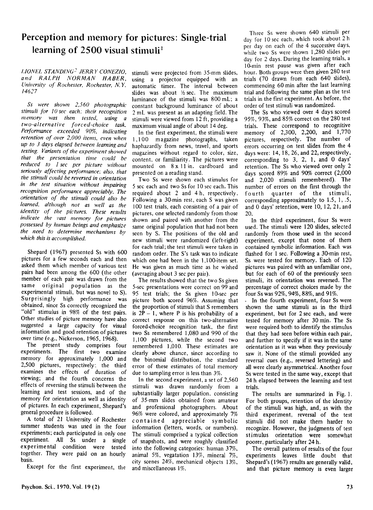## **Perception and memory for pictures: Single-trial**  learning of 2500 visual stimuli<sup>1</sup>

*UONEL STAND/NC:! JERRY CONEZIO, and RALPH NORMAN HABER, University of Rochester, Rochester, N.Y.* 14627

Ss were shown 2,560 photographic *stimuli [or 10 sec each: their recognition memory was then tested, using a*   $two$ -alternative forced-choice task. *Per[omulIlce exceeded 90%, indicating retention of over 2,000 items, even when up to* 3 *days elapsed be/Ween leaming and testing. Variants of the experiment showed that the presentafiun time cuuld be reduced to 1 sec per picture without*  seriously affecting performance; also, that *the stimuli cuuld be reversed in urientation in the test situation wifhout impairing recognition performance appreciably. The*   $o$ *ientation of the stimuli could also be leamed. altlumgh not as weil as the identity of the pictures. These results indicate the vast memory [or pictures possessed by human beings and emphasize the need to determine mechanisms by which this* is *accomplished.* 

Shepard (1967) presented Ss with 600 pictures for a few seconds each and then asked them which member of various test pairs had been among the 600 (the other member of each pair was drawn from the same original population as the experimental stimuli. but was novel to S). Surprisingly high performance was obtained, since Ss correctly recognized the "old" *stimulus* in 98% of the test pairs. Other studies of picture memory have also suggested a large capacity for visual information and good retention of pictures over time (e.g., Nickerson, 1965, 1968).

The present study comprises four experiments. The first two examine memory for approximately 1,000 and 2,500 pictures, respectively; the third examines the effects of duration of viewing; and the fourth concerns the effects of reversing the stimuli between the learning and test sessions, and of the memory for orientation as well as identity of pictures. In each experiment, Shepard's general procedure is followed.

A total of 21 University of Rochester summer students was used in the four experiments; each participated in only one experiment. All Ss under a single experimental condition were tested together. They were paid on an hourly basis.

Except for the first experiment, the

stimuli were projected from 35-mm slides, using a projector equipped with an automatie timer. The interval between slides was about  $\frac{1}{2}$  sec. The maximum luminance of the stimuli was 800 mL; a constant background luminance of about 2 mL was present as an adapting field. The stimuli were viewed from 12 ft, providing a maximum visual angle of about 14 deg.

In the first experiment, the stimuli were I, I 00 magazine photographs, taken haphazardly from news, travel, and sports magazines without regard to color, size, content, or familiarity. The pictures were mounted on 8 x 11 in. cardboard and presented on a reading stand.

Two Ss were shown each stimulus for 5 sec each and two Ss for 10 sec each. This required about 2 and 4 h, respectively. Following a 30-min rest, each S was given 100 test trials, each consisting of a pair of pictures, one selected randomly from those shown and paired with another from the same original population that had not been seen by S. The positions of the old and new stimuli were randomized (left-right) for each trial; the test stimuli were taken in random order. The S's task was to indicate which one had been in the 1,100-item set. He was given as much time as he wished (averaging about 3 sec per pair).

The results showed that the two Ss given 5-sec presentations were correct on 99 and 95 test trials; the Ss given 10-sec per picture both scored 96%. Assuming that the proportion of stimuli that S remembers is  $2P - 1$ , where P is his probability of a correct response on this two-alternative forced-choice recognition task, the first two Ss remembered 1,080 and 990 of the 1,100 pictures, while the second two remembered 1,010. These estimates are clearly above chance, since according to the binomial distribution, the standard error of these estimates of total memory due to sampling error is less than 3%.

In the second experiment, a set of 2,560 stimuli was drawn randomly from a substantially larger population. consisting of 35-mm slides obtained from amateur and professional photographers. About 96% were colored, and approximately 7% contained appreciable symbolic information (letters, words, or numbers). The stimuli comprised a typical collection of snapshots, and were roughly classified into the following categories: human 37%, animal 5%, vegatation  $13\%$ , mineral 7%, city scenes 24%. mechanical objects 13%, and miscellaneous 1%.

Three Ss were shown 640 stimuli per day for 10 sec each, which took about 2 h per day on each of the 4 successive days, while two Ss were shown 1,280 slides per day for 2 days. During the learning trials, a IO-min rest pause was given after each hour. Both groups were then given 280 test trials (70 drawn from each 640 slides), commencing 60 min after the last learning trial and following the same plan as the test trials in the first experiment. As before, the order of test stimuli was randomized.

The Ss who viewed over 4 days scored 95%, 93%, and 85% correct on the 280 test trials. These correspond to recognitive memory of 2,300, 2,200, and 1,770 pictures, respectively. The number of errors occurring on test slides from the 4 days were: 14,18,26, and 22, respectively, corresponding to 3, 2, 1, and 0 days' retention. The Ss who viewed over only 2 days scored 89% and 90% correct (2,000 and 2,020 stimuli remembered). The number of errors on the first through the fourth quarter of the stimuli, corresponding approximately to 1.5, 1, .5, and 0 days' retention, were 10, 12, 21, and 20.

In the third experiment, four Ss were used. The stimuli were 120 slides, selected randomly from those used in the second experiment, except that none of them contained symbolic information. Each was flashed for I sec. Following a 30-min rest, Ss were tested for memory. Each of 120 pictures was paired with an unfamiliar one, but for each of 60 of the previously seen stimuli, its orientation was reversed. The percentage of correct choices made by the four Ss was 92%, 94%, 88%, and 91%.

- In the fourth experiment, four Ss were shown the same stimuli as in the third experiment, but for 2 sec each, and were tested for memory after 30 min. The Ss were required both to identify the stimulus that they had seen before within each pair, and further to specify if it was in the same orientation as it was when they previously saw it. None of the stimuli provided any reversal cues (e.g., reversed lettering) and all were clearly asymmetrical. Another four Ss were tested in the same way, except that 24 h elapsed between the learning and test trials.

The results are summarized in Fig. 1. For both groups, retention of the identity of the stimuli was high, and, as with the third experiment, reversal of the test stimuli did not make them harder to recognize. However, the judgments of test stimulus orientation were somewhat poorer, particularly after 24 h.

The overall pattern of results of the four experiments leaves Iittle doubt that Shepard's (1967) results are generally valid, and that picture memory is even larger